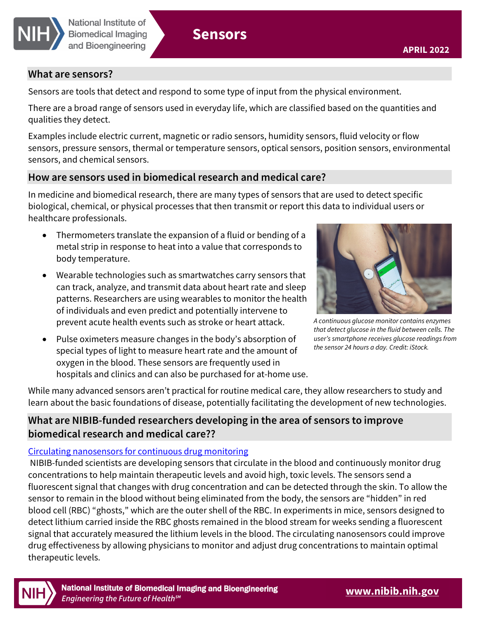

## **What are sensors?**

Sensors are tools that detect and respond to some type of input from the physical environment.

There are a broad range of sensors used in everyday life, which are classified based on the quantities and qualities they detect.

Examples include electric current, magnetic or radio sensors, humidity sensors, fluid velocity or flow sensors, pressure sensors, thermal or temperature sensors, optical sensors, position sensors, environmental sensors, and chemical sensors.

# **How are sensors used in biomedical research and medical care?**

In medicine and biomedical research, there are many types of sensors that are used to detect specific biological, chemical, or physical processes that then transmit or report this data to individual users or healthcare professionals.

- Thermometers translate the expansion of a fluid or bending of a metal strip in response to heat into a value that corresponds to body temperature.
- Wearable technologies such as smartwatches carry sensors that can track, analyze, and transmit data about heart rate and sleep patterns. Researchers are using wearables to monitor the health of individuals and even predict and potentially intervene to prevent acute health events such as stroke or heart attack.
- Pulse oximeters measure changes in the body's absorption of special types of light to measure heart rate and the amount of oxygen in the blood. These sensors are frequently used in hospitals and clinics and can also be purchased for at-home use.



*A continuous glucose monitor contains enzymes that detect glucose in the fluid between cells. The user's smartphone receives glucose readings from the sensor 24 hours a day. Credit: iStock.* 

While many advanced sensors aren't practical for routine medical care, they allow researchers to study and learn about the basic foundations of disease, potentially facilitating the development of new technologies.

# **What are NIBIB-funded researchers developing in the area of sensors to improve biomedical research and medical care??**

## [Circulating nanosensors for continuous drug monitoring](https://reporter.nih.gov/search/ruK4E0C2sEGCMiFIFGX9Rg/project-details/10062973)

NIBIB-funded scientists are developing sensors that circulate in the blood and continuously monitor drug concentrations to help maintain therapeutic levels and avoid high, toxic levels. The sensors send a fluorescent signal that changes with drug concentration and can be detected through the skin. To allow the sensor to remain in the blood without being eliminated from the body, the sensors are "hidden" in red blood cell (RBC) "ghosts," which are the outer shell of the RBC. In experiments in mice, sensors designed to detect lithium carried inside the RBC ghosts remained in the blood stream for weeks sending a fluorescent signal that accurately measured the lithium levels in the blood. The circulating nanosensors could improve drug effectiveness by allowing physicians to monitor and adjust drug concentrations to maintain optimal therapeutic levels.